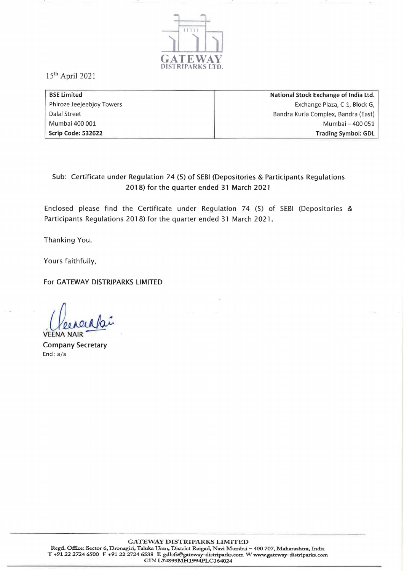

15th April 2021

| <b>BSE Limited</b>        | National Stock Exchange of India Ltd. |
|---------------------------|---------------------------------------|
| Phiroze Jeejeebjoy Towers | Exchange Plaza, C-1, Block G,         |
| Dalal Street              | Bandra Kurla Complex, Bandra (East)   |
| Mumbai 400 001            | Mumbai - 400 051                      |
| Scrip Code: 532622        | Trading Symbol: GDL                   |

## Sub: Certificate under Regulation 74 (5) of SEBI (Depositories & Participants Regulations 2018) for the quarter ended 31 March 2021

Enclosed please find the Certificate under Regulation 74 (5) of SEBI (Depositories & Participants Regulations 2018) for the quarter ended 31 March 2021.

Thanking You.

Yours faithfully,

For GATEWAY DISTRIPARKS LIMITED

VEENA NAIR

Company Secretary Encl: a/a